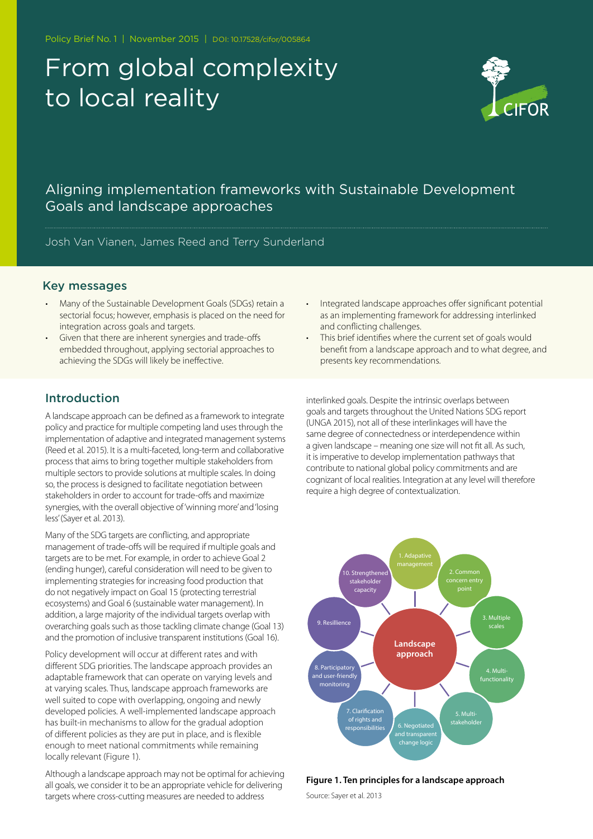Policy Brief No. 1 | November 2015 | DOI: 10.17528/cifor/005864

# From global complexity to local reality



## Aligning implementation frameworks with Sustainable Development Goals and landscape approaches

Josh Van Vianen, James Reed and Terry Sunderland

#### Key messages

- Many of the Sustainable Development Goals (SDGs) retain a sectorial focus; however, emphasis is placed on the need for integration across goals and targets.
- Given that there are inherent synergies and trade-offs embedded throughout, applying sectorial approaches to achieving the SDGs will likely be ineffective.
- Integrated landscape approaches offer significant potential as an implementing framework for addressing interlinked and conflicting challenges.
- This brief identifies where the current set of goals would benefit from a landscape approach and to what degree, and presents key recommendations.

## Introduction

A landscape approach can be defined as a framework to integrate policy and practice for multiple competing land uses through the implementation of adaptive and integrated management systems (Reed et al. 2015). It is a multi-faceted, long-term and collaborative process that aims to bring together multiple stakeholders from multiple sectors to provide solutions at multiple scales. In doing so, the process is designed to facilitate negotiation between stakeholders in order to account for trade-offs and maximize synergies, with the overall objective of 'winning more' and 'losing less' (Sayer et al. 2013).

Many of the SDG targets are conflicting, and appropriate management of trade-offs will be required if multiple goals and targets are to be met. For example, in order to achieve Goal 2 (ending hunger), careful consideration will need to be given to implementing strategies for increasing food production that do not negatively impact on Goal 15 (protecting terrestrial ecosystems) and Goal 6 (sustainable water management). In addition, a large majority of the individual targets overlap with overarching goals such as those tackling climate change (Goal 13) and the promotion of inclusive transparent institutions (Goal 16).

Policy development will occur at different rates and with different SDG priorities. The landscape approach provides an adaptable framework that can operate on varying levels and at varying scales. Thus, landscape approach frameworks are well suited to cope with overlapping, ongoing and newly developed policies. A well-implemented landscape approach has built-in mechanisms to allow for the gradual adoption of different policies as they are put in place, and is flexible enough to meet national commitments while remaining locally relevant (Figure 1).

Although a landscape approach may not be optimal for achieving all goals, we consider it to be an appropriate vehicle for delivering targets where cross-cutting measures are needed to address

interlinked goals. Despite the intrinsic overlaps between goals and targets throughout the United Nations SDG report (UNGA 2015), not all of these interlinkages will have the same degree of connectedness or interdependence within a given landscape – meaning one size will not fit all. As such, it is imperative to develop implementation pathways that contribute to national global policy commitments and are cognizant of local realities. Integration at any level will therefore require a high degree of contextualization.



#### **Figure 1. Ten principles for a landscape approach**

Source: Sayer et al. 2013